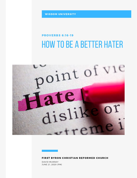WISDOM UNIVERSITY

# how to be a better hater **PROVERBS 6:16-19**



#### FIRST BYRON CHRISTIAN REFORMED CHURCH

DAVID MURRAY JUNE 21, 2020 (PM)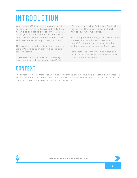# **INTRODUCTION**

You're a hater!" It's one of the worst insults anyone can hurl at us today, isn't it? To be a hater is to be outside civil society. If you're a hater, you're a non-person. The media tells us that there's too much hate in our culture and that hate is causing so many problems.

The problem is that we don't hate enough. We don't love enough either, but the two are connected.

In Proverbs 6:16-19, Wisdom University offers a class on how to hate. Specifically it's how to hate what God hates. That's the first part of the class. The second part is how to love what God loves.

What happens when we get this wrong, when we hate what God loves or love what God hates? We become part of what God hates, and miss out on experiencing God's love.

Let's therefore learn what God hates and loves. In the process we will become better haters and better lovers.

# **CONTEXT**

In Proverbs 6: 6-11, Professor Solomon condemned the slothful who do nothing, In verses 12- 19, he condemns the activist who does evil. He describes this wicked activist in verses 12-15, then describes God's view of them in verses 16-19.



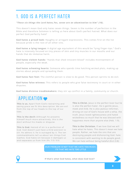### 1. GOD IS A PERFECT HATER

#### *"These six things the Lord hates,Yes, seven are an abomination to him" (16).*

This doesn't mean God only hates seven things. Seven is the number of perfection in the Bible and therefore Solomon is telling us here about God's perfect hatred. What does our perfect God perfectly hate?

**God hates a proud look:** Haughty or arrogant expressions. This comes first on the list because pride is the root of all other sins.

**God hates a lying tongue:** A digital age equivalent of this would be "lying finger-tips." God's hate is intensely focused on tiny pieces of skin and tiny muscles in our mouths and our hands that do immense harm.

**God hates violent hands:** "Hands that shed innocent blood" includes mistreatment of people, especially the weak.

**God hates scheming hearts:** Someone who spends time hatching wicked plots, making up stories about people and spreading them.

**God hates fast feet:** The slothful person is slow to do good. This person sprints to do evil.

**God hates false witness:** This refers to people who give false testimony in court or in other disputes.

**God hates divisive troublemakers:** they stir up conflict in a family, community or church.

### APPLICATION  $\bullet$

**This is us.** Apart from God's restraining and saving grace we fit this description. We are evil from the top of our heads to the top of our toes.

**This is the devil:** Although he presents himself much more attractively, this is the devil without his masks or disguise.

**This is God.** Hatred of sin is a perfection of God. God doesn't just have a mild aversion to sin. He abhors it. he is outraged by it. The ten commandments tell us about ten things God loathes. God hates sin because it damages us and separates us from him (Ps. 11:5; 5:5).

**This is Christ.** Jesus is the perfect lover but he is also the perfect hater. He is gentle Jesus, meek and mild. He is also jealous reformer, driving sin out of God's house with a whip. the truth. Jesus loved righteousness and hated wickedness so much that he was blessed with happiness more than anyone else (Heb. 1:9).

**This is the Christian.** If we love God we will [hate what he hates. This doesn't mean we hate](https://www.gregtrimble.com/the-most-dangerous-temptation-that-faces-our-youth/) people. Rather, we hate the sins that are destroying people and dishonoring God. hate is consistent with wanting to do people good. We can hate without being hateful (Eccl.3:8)

OUR PROBLEM IS NOT THAT WE HATE TOO MUCH, ITS THAT WE HATE TOO LITTLE



**If that's what God hates, what does God love?**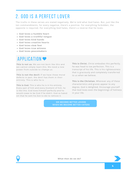### 2. GOD IS A PERFECT LOVER

The truths in these verses are stated negatively. We're told what God hates. But, just like the ten commandments, for every negative, there's a positive. For everything forbidden, the opposite is required. For everything God hates, there's a reverse that he loves.

- **God loves a humble heart**
- **God loves a truthful tongue**
- **God loves kind hands**
- **God loves creative hearts**
- **God loves slow feet**
- **God loves true witness**
- **God loves peacemakers**

### APPLICATION<sup>®</sup>

This is not us. We are not born like this and we cannot simply learn this. We need a new power from outside to change us.

**This is not the devil:** If we have these moral defects in part, the devil has them in their entirety. This is who he is.

**This is God.** This is who he is in his entirety. Every part of him and every moment of him, he is like this. God loves himself perfectly and he would cease to be God if he didn't. God so hated sin that he sent his Son to die to remove it.

**This is Christ.** Christ embodies this perfectly. he was head to toe perfection. This is a transcript of his life. This is his righteousness that is graciously and completely transferred to us when we believe.

**This is the Christian.** Wherever any of these characteristics and graces appear to any degree, God is delighted. Encourage yourself [that God loves even the beginnings of holiness](https://www.gregtrimble.com/the-most-dangerous-temptation-that-faces-our-youth/) in your life.

WE BECOME BETTER LOVERS WHEN WE BECOME BETTER HATERS



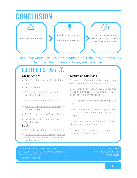### **CONCLUSION We don't hate enough God is a perfect hater God is a perfect lover Pursue perfection by hating what God hates and loving what God loves.**

**PRAYER**: We worship you as the sin-hating God. Help us to honor you by hating what you hate and loving what you love.

## $FURTHER$  STUDY

#### Online Articles

- [Does God hate anyone?](https://answersingenesis.org/answers/biblical-authority-devotional/does-god-hate-anyone/) by Erik Lutz Ham
- [God hates evil](https://www.openbible.info/topics/god_hates_evil)
- [The Hatred of God in the Psalms of](https://ca.thegospelcoalition.org/columns/ad-fontes/the-hatred-of-god-in-the-psalms-of-david/) David by Paul Carter
- [What God hates](https://www.challies.com/articles/god-hates-wicked-people/) by Tim Challies
- [Are Christians intolerant haters?](https://www.michaeljkruger.com/are-christians-intolerant-haters-lessons-from-the-church-of-the-second-century/) by Michael Kruger
- [The Case for Hate](https://headhearthand.org/blog/2012/08/13/the-case-for-hate/) by David Murray
- [How to be a Christian hater](https://headhearthand.org/blog/2012/08/14/how-to-be-a-christian-hater/) by David Murray

#### Books

- [The Holiness of God](https://amzn.to/3hO1sm9) by R. C. Sproul
- **[Christians are hate-filled hypocrites](https://amzn.to/3dodXS7)** and other lies you've been told by Bradley Wright

#### Discussion Questions

[1. How do the "seven things God hates" change](https://www.ligonier.org/blog/should-i-force-my-teen-go-church/) your view of the Ten Commandments?

2. Go through the list of seven things God hates and give practical examples of what each looks like in modern life.

3. Do the same with the seven things God loves.

4. What did this sermon teach you about God, Christ, heaven, hell, yourself, the Gospel?

5. Explain how you can hate sin but love sinners at the same time.

6. How do these verses increase our assurance of God's love?

First Byron Christian Reformed Church Phone: (616) 878-9768 www.firstbyroncrc.org

Dr. David Murray [www.HeadHeartHand.org](http://headhearthand.org/) [www.prts.edu](https://prts.edu/)